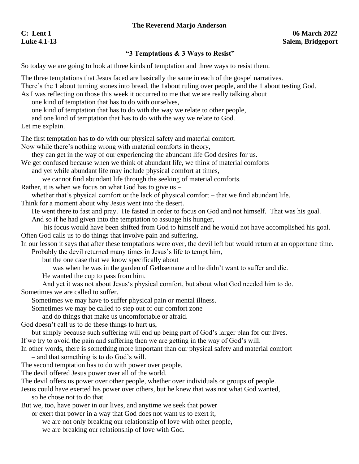## **The Reverend Marjo Anderson**

## **"3 Temptations & 3 Ways to Resist"**

So today we are going to look at three kinds of temptation and three ways to resist them.

The three temptations that Jesus faced are basically the same in each of the gospel narratives. There's the 1 about turning stones into bread, the 1about ruling over people, and the 1 about testing God. As I was reflecting on those this week it occurred to me that we are really talking about

one kind of temptation that has to do with ourselves,

one kind of temptation that has to do with the way we relate to other people,

and one kind of temptation that has to do with the way we relate to God.

Let me explain.

The first temptation has to do with our physical safety and material comfort.

Now while there's nothing wrong with material comforts in theory,

they can get in the way of our experiencing the abundant life God desires for us.

We get confused because when we think of abundant life, we think of material comforts

and yet while abundant life may include physical comfort at times,

we cannot find abundant life through the seeking of material comforts.

Rather, it is when we focus on what God has to give us  $-$ 

whether that's physical comfort or the lack of physical comfort – that we find abundant life.

Think for a moment about why Jesus went into the desert.

He went there to fast and pray. He fasted in order to focus on God and not himself. That was his goal. And so if he had given into the temptation to assuage his hunger,

his focus would have been shifted from God to himself and he would not have accomplished his goal. Often God calls us to do things that involve pain and suffering.

In our lesson it says that after these temptations were over, the devil left but would return at an opportune time. Probably the devil returned many times in Jesus's life to tempt him,

but the one case that we know specifically about

was when he was in the garden of Gethsemane and he didn't want to suffer and die.

He wanted the cup to pass from him.

And yet it was not about Jesus's physical comfort, but about what God needed him to do. Sometimes we are called to suffer.

Sometimes we may have to suffer physical pain or mental illness.

Sometimes we may be called to step out of our comfort zone

and do things that make us uncomfortable or afraid.

God doesn't call us to do these things to hurt us,

but simply because such suffering will end up being part of God's larger plan for our lives.

If we try to avoid the pain and suffering then we are getting in the way of God's will.

In other words, there is something more important than our physical safety and material comfort – and that something is to do God's will.

The second temptation has to do with power over people.

The devil offered Jesus power over all of the world.

The devil offers us power over other people, whether over individuals or groups of people.

Jesus could have exerted his power over others, but he knew that was not what God wanted, so he chose not to do that.

But we, too, have power in our lives, and anytime we seek that power

or exert that power in a way that God does not want us to exert it,

we are not only breaking our relationship of love with other people,

we are breaking our relationship of love with God.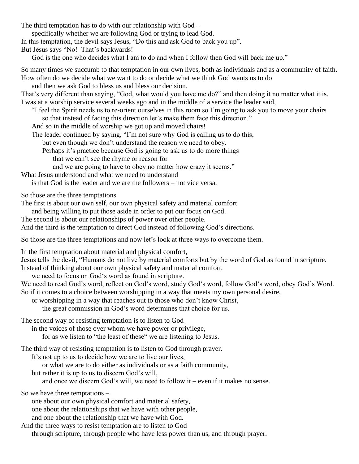The third temptation has to do with our relationship with God –

specifically whether we are following God or trying to lead God.

In this temptation, the devil says Jesus, "Do this and ask God to back you up".

But Jesus says "No! That's backwards!

God is the one who decides what I am to do and when I follow then God will back me up."

So many times we succumb to that temptation in our own lives, both as individuals and as a community of faith. How often do we decide what we want to do or decide what we think God wants us to do

and then we ask God to bless us and bless our decision.

That's very different than saying, "God, what would you have me do?" and then doing it no matter what it is. I was at a worship service several weeks ago and in the middle of a service the leader said,

"I feel the Spirit needs us to re-orient ourselves in this room so I'm going to ask you to move your chairs so that instead of facing this direction let's make them face this direction."

And so in the middle of worship we got up and moved chairs!

The leader continued by saying, "I'm not sure why God is calling us to do this,

but even though we don't understand the reason we need to obey.

Perhaps it's practice because God is going to ask us to do more things

that we can't see the rhyme or reason for

and we are going to have to obey no matter how crazy it seems."

What Jesus understood and what we need to understand

is that God is the leader and we are the followers – not vice versa.

So those are the three temptations.

The first is about our own self, our own physical safety and material comfort

and being willing to put those aside in order to put our focus on God.

The second is about our relationships of power over other people.

And the third is the temptation to direct God instead of following God's directions.

So those are the three temptations and now let's look at three ways to overcome them.

In the first temptation about material and physical comfort,

Jesus tells the devil, "Humans do not live by material comforts but by the word of God as found in scripture. Instead of thinking about our own physical safety and material comfort,

we need to focus on God's word as found in scripture.

We need to read God's word, reflect on God's word, study God's word, follow God's word, obey God's Word. So if it comes to a choice between worshipping in a way that meets my own personal desire,

or worshipping in a way that reaches out to those who don't know Christ,

the great commission in God's word determines that choice for us.

The second way of resisting temptation is to listen to God

in the voices of those over whom we have power or privilege,

for as we listen to "the least of these" we are listening to Jesus.

The third way of resisting temptation is to listen to God through prayer.

It's not up to us to decide how we are to live our lives,

or what we are to do either as individuals or as a faith community,

but rather it is up to us to discern God's will,

and once we discern God's will, we need to follow it – even if it makes no sense.

So we have three temptations –

one about our own physical comfort and material safety,

one about the relationships that we have with other people,

and one about the relationship that we have with God.

And the three ways to resist temptation are to listen to God through scripture, through people who have less power than us, and through prayer.